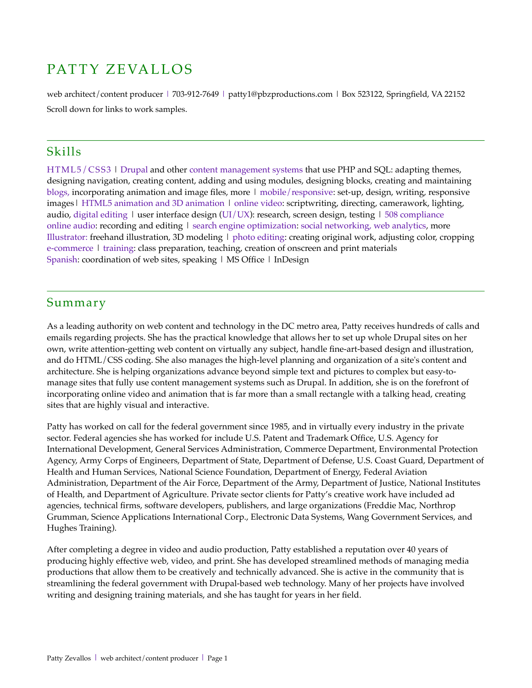# PATTY ZEVALLOS

web architect/content producer | 703-912-7649 | patty1@pbzproductions.com | Box 523122, Springfield, VA 22152 Scroll down for links to work samples.

## Skills

HTML5/CSS3 | Drupal and other content management systems that use PHP and SQL: adapting themes, designing navigation, creating content, adding and using modules, designing blocks, creating and maintaining blogs, incorporating animation and image fles, more | mobile/responsive: set-up, design, writing, responsive images| HTML5 animation and 3D animation | online video: scriptwriting, directing, camerawork, lighting, audio, digital editing | user interface design (UI/UX): research, screen design, testing | 508 compliance online audio: recording and editing  $\vert$  search engine optimization: social networking, web analytics, more Illustrator: freehand illustration, 3D modeling | photo editing: creating original work, adjusting color, cropping e-commerce | training: class preparation, teaching, creation of onscreen and print materials Spanish: coordination of web sites, speaking | MS Office | InDesign

## Summary

As a leading authority on web content and technology in the DC metro area, Patty receives hundreds of calls and emails regarding projects. She has the practical knowledge that allows her to set up whole Drupal sites on her own, write attention-getting web content on virtually any subject, handle fne-art-based design and illustration, and do HTML/CSS coding. She also manages the high-level planning and organization of a site's content and architecture. She is helping organizations advance beyond simple text and pictures to complex but easy-tomanage sites that fully use content management systems such as Drupal. In addition, she is on the forefront of incorporating online video and animation that is far more than a small rectangle with a talking head, creating sites that are highly visual and interactive.

Patty has worked on call for the federal government since 1985, and in virtually every industry in the private sector. Federal agencies she has worked for include U.S. Patent and Trademark Office, U.S. Agency for International Development, General Services Administration, Commerce Department, Environmental Protection Agency, Army Corps of Engineers, Department of State, Department of Defense, U.S. Coast Guard, Department of Health and Human Services, National Science Foundation, Department of Energy, Federal Aviation Administration, Department of the Air Force, Department of the Army, Department of Justice, National Institutes of Health, and Department of Agriculture. Private sector clients for Patty's creative work have included ad agencies, technical frms, software developers, publishers, and large organizations (Freddie Mac, Northrop Grumman, Science Applications International Corp., Electronic Data Systems, Wang Government Services, and Hughes Training).

After completing a degree in video and audio production, Patty established a reputation over 40 years of producing highly effective web, video, and print. She has developed streamlined methods of managing media productions that allow them to be creatively and technically advanced. She is active in the community that is streamlining the federal government with Drupal-based web technology. Many of her projects have involved writing and designing training materials, and she has taught for years in her feld.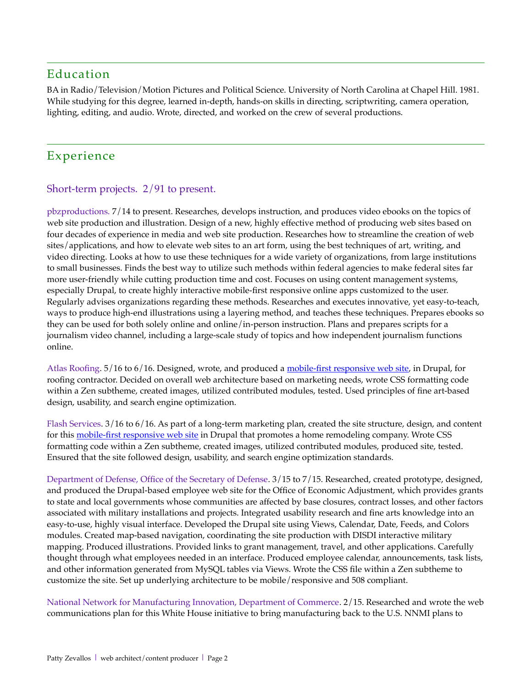# Education

BA in Radio/Television/Motion Pictures and Political Science. University of North Carolina at Chapel Hill. 1981. While studying for this degree, learned in-depth, hands-on skills in directing, scriptwriting, camera operation, lighting, editing, and audio. Wrote, directed, and worked on the crew of several productions.

# Experience

### Short-term projects. 2/91 to present.

pbzproductions. 7/14 to present. Researches, develops instruction, and produces video ebooks on the topics of web site production and illustration. Design of a new, highly effective method of producing web sites based on four decades of experience in media and web site production. Researches how to streamline the creation of web sites/applications, and how to elevate web sites to an art form, using the best techniques of art, writing, and video directing. Looks at how to use these techniques for a wide variety of organizations, from large institutions to small businesses. Finds the best way to utilize such methods within federal agencies to make federal sites far more user-friendly while cutting production time and cost. Focuses on using content management systems, especially Drupal, to create highly interactive mobile-frst responsive online apps customized to the user. Regularly advises organizations regarding these methods. Researches and executes innovative, yet easy-to-teach, ways to produce high-end illustrations using a layering method, and teaches these techniques. Prepares ebooks so they can be used for both solely online and online/in-person instruction. Plans and prepares scripts for a journalism video channel, including a large-scale study of topics and how independent journalism functions online.

Atlas Roofng. 5/16 to 6/16. Designed, wrote, and produced a [mobile-frst responsive web site,](http://www.pbzproductions.com/resume/sample-Atlas.html) in Drupal, for roofng contractor. Decided on overall web architecture based on marketing needs, wrote CSS formatting code within a Zen subtheme, created images, utilized contributed modules, tested. Used principles of fne art-based design, usability, and search engine optimization.

Flash Services. 3/16 to 6/16. As part of a long-term marketing plan, created the site structure, design, and content for this [mobile-frst responsive web site](http://www.pbzproductions.com/resume/sample-Flash.html) in Drupal that promotes a home remodeling company. Wrote CSS formatting code within a Zen subtheme, created images, utilized contributed modules, produced site, tested. Ensured that the site followed design, usability, and search engine optimization standards.

Department of Defense, Office of the Secretary of Defense.  $3/15$  to  $7/15$ . Researched, created prototype, designed, and produced the Drupal-based employee web site for the Office of Economic Adjustment, which provides grants to state and local governments whose communities are affected by base closures, contract losses, and other factors associated with military installations and projects. Integrated usability research and fne arts knowledge into an easy-to-use, highly visual interface. Developed the Drupal site using Views, Calendar, Date, Feeds, and Colors modules. Created map-based navigation, coordinating the site production with DISDI interactive military mapping. Produced illustrations. Provided links to grant management, travel, and other applications. Carefully thought through what employees needed in an interface. Produced employee calendar, announcements, task lists, and other information generated from MySQL tables via Views. Wrote the CSS fle within a Zen subtheme to customize the site. Set up underlying architecture to be mobile/responsive and 508 compliant.

National Network for Manufacturing Innovation, Department of Commerce. 2/15. Researched and wrote the web communications plan for this White House initiative to bring manufacturing back to the U.S. NNMI plans to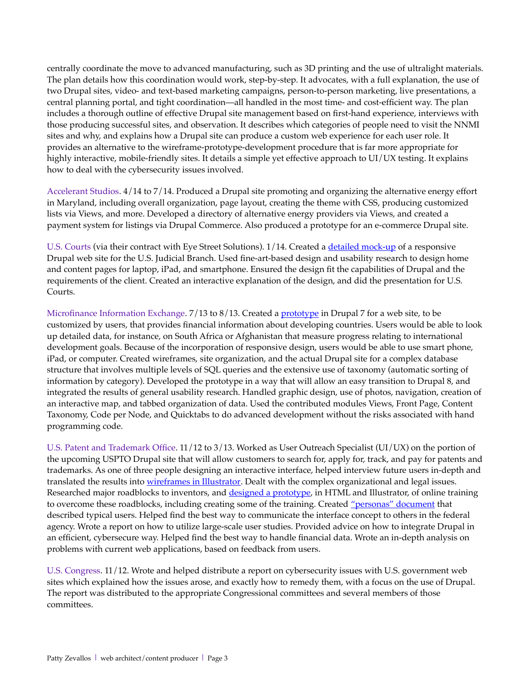centrally coordinate the move to advanced manufacturing, such as 3D printing and the use of ultralight materials. The plan details how this coordination would work, step-by-step. It advocates, with a full explanation, the use of two Drupal sites, video- and text-based marketing campaigns, person-to-person marketing, live presentations, a central planning portal, and tight coordination—all handled in the most time- and cost-effcient way. The plan includes a thorough outline of effective Drupal site management based on frst-hand experience, interviews with those producing successful sites, and observation. It describes which categories of people need to visit the NNMI sites and why, and explains how a Drupal site can produce a custom web experience for each user role. It provides an alternative to the wireframe-prototype-development procedure that is far more appropriate for highly interactive, mobile-friendly sites. It details a simple yet effective approach to UI/UX testing. It explains how to deal with the cybersecurity issues involved.

Accelerant Studios. 4/14 to 7/14. Produced a Drupal site promoting and organizing the alternative energy effort in Maryland, including overall organization, page layout, creating the theme with CSS, producing customized lists via Views, and more. Developed a directory of alternative energy providers via Views, and created a payment system for listings via Drupal Commerce. Also produced a prototype for an e-commerce Drupal site.

U.S. Courts (via their contract with Eye Street Solutions). 1/14. Created a [detailed mock-up](http://www.pbzproductions.com/resume/sample-USCourts.html) of a responsive Drupal web site for the U.S. Judicial Branch. Used fne-art-based design and usability research to design home and content pages for laptop, iPad, and smartphone. Ensured the design fit the capabilities of Drupal and the requirements of the client. Created an interactive explanation of the design, and did the presentation for U.S. Courts.

Microfnance Information Exchange. 7/13 to 8/13. Created a [prototype](http://www.pbzproductions.com/resume/sample-MIX-prototype.html) in Drupal 7 for a web site, to be customized by users, that provides fnancial information about developing countries. Users would be able to look up detailed data, for instance, on South Africa or Afghanistan that measure progress relating to international development goals. Because of the incorporation of responsive design, users would be able to use smart phone, iPad, or computer. Created wireframes, site organization, and the actual Drupal site for a complex database structure that involves multiple levels of SQL queries and the extensive use of taxonomy (automatic sorting of information by category). Developed the prototype in a way that will allow an easy transition to Drupal 8, and integrated the results of general usability research. Handled graphic design, use of photos, navigation, creation of an interactive map, and tabbed organization of data. Used the contributed modules Views, Front Page, Content Taxonomy, Code per Node, and Quicktabs to do advanced development without the risks associated with hand programming code.

U.S. Patent and Trademark Office. 11/12 to 3/13. Worked as User Outreach Specialist (UI/UX) on the portion of the upcoming USPTO Drupal site that will allow customers to search for, apply for, track, and pay for patents and trademarks. As one of three people designing an interactive interface, helped interview future users in-depth and translated the results into [wireframes in Illustrator.](http://www.pbzproductions.com/resume/sample-USPTO-wireframes.html) Dealt with the complex organizational and legal issues. Researched major roadblocks to inventors, and [designed a prototype,](http://www.pbzproductions.com/resume/sample-USPTO-learn.html) in HTML and Illustrator, of online training to overcome these roadblocks, including creating some of the training. Created ["personas" document](http://www.pbzproductions.com/resume/sample-USPTO-personas.pdf) that described typical users. Helped fnd the best way to communicate the interface concept to others in the federal agency. Wrote a report on how to utilize large-scale user studies. Provided advice on how to integrate Drupal in an efficient, cybersecure way. Helped find the best way to handle financial data. Wrote an in-depth analysis on problems with current web applications, based on feedback from users.

U.S. Congress. 11/12. Wrote and helped distribute a report on cybersecurity issues with U.S. government web sites which explained how the issues arose, and exactly how to remedy them, with a focus on the use of Drupal. The report was distributed to the appropriate Congressional committees and several members of those committees.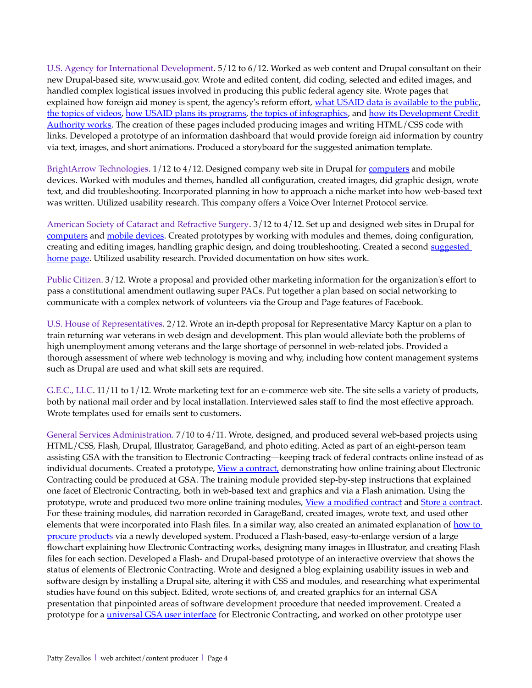U.S. Agency for International Development. 5/12 to 6/12. Worked as web content and Drupal consultant on their new Drupal-based site, www.usaid.gov. Wrote and edited content, did coding, selected and edited images, and handled complex logistical issues involved in producing this public federal agency site. Wrote pages that explained how foreign aid money is spent, the agency's reform effort, [what USAID data is available to the public,](http://www.pbzproductions.com/resume/sample-USAID-data_page.html) [the topics of videos,](http://www.pbzproductions.com/resume/sample-USAID-videos.html) [how USAID plans its programs,](http://www.pbzproductions.com/resume/sample-USAID-planning.html) [the topics of infographics,](http://www.pbzproductions.com/resume/sample-USAID-infographics.html) and [how its Development Credit](http://www.pbzproductions.com/resume/sample-USAID-DCA/dca.html)  [Authority works.](http://www.pbzproductions.com/resume/sample-USAID-DCA/dca.html) The creation of these pages included producing images and writing HTML/CSS code with links. Developed a prototype of an information dashboard that would provide foreign aid information by country via text, images, and short animations. Produced a storyboard for the suggested animation template.

BrightArrow Technologies. 1/12 to 4/12. Designed company web site in Drupal for [computers](http://www.pbzproductions.com/resume/sample-BArrow_screenshot.html) and mobile devices. Worked with modules and themes, handled all confguration, created images, did graphic design, wrote text, and did troubleshooting. Incorporated planning in how to approach a niche market into how web-based text was written. Utilized usability research. This company offers a Voice Over Internet Protocol service.

American Society of Cataract and Refractive Surgery. 3/12 to 4/12. Set up and designed web sites in Drupal for [computers](http://www.pbzproductions.com/resume/sample-Cornea_screenshot.html) and [mobile devices.](http://www.pbzproductions.com/resume/sample-Cornea_mobile-screenshot.html) Created prototypes by working with modules and themes, doing confguration, creating and editing images, handling graphic design, and doing troubleshooting. Created a second [suggested](http://www.pbzproductions.com/resume/sample-Cornea_home_ver1.html)  [home page.](http://www.pbzproductions.com/resume/sample-Cornea_home_ver1.html) Utilized usability research. Provided documentation on how sites work.

Public Citizen. 3/12. Wrote a proposal and provided other marketing information for the organization's effort to pass a constitutional amendment outlawing super PACs. Put together a plan based on social networking to communicate with a complex network of volunteers via the Group and Page features of Facebook.

U.S. House of Representatives*.* 2/12. Wrote an in-depth proposal for Representative Marcy Kaptur on a plan to train returning war veterans in web design and development. This plan would alleviate both the problems of high unemployment among veterans and the large shortage of personnel in web-related jobs. Provided a thorough assessment of where web technology is moving and why, including how content management systems such as Drupal are used and what skill sets are required.

G.E.C., LLC. 11/11 to 1/12. Wrote marketing text for an e-commerce web site. The site sells a variety of products, both by national mail order and by local installation. Interviewed sales staff to fnd the most effective approach. Wrote templates used for emails sent to customers.

General Services Administration*.* 7/10 to 4/11. Wrote, designed, and produced several web-based projects using HTML/CSS, Flash, Drupal, Illustrator, GarageBand, and photo editing. Acted as part of an eight-person team assisting GSA with the transition to Electronic Contracting—keeping track of federal contracts online instead of as individual documents. Created a prototype, [View a contract,](http://www.pbzproductions.com/resume/sample-GSA-view_document/index.html) demonstrating how online training about Electronic Contracting could be produced at GSA. The training module provided step-by-step instructions that explained one facet of Electronic Contracting, both in web-based text and graphics and via a Flash animation. Using the prototype, wrote and produced two more online training modules, [View a modifed contract](http://www.pbzproductions.com/resume/sample-GSA-view_mod/index.html) and [Store a contract.](http://www.pbzproductions.com/resume/sample-GSA-store_document/index.html) For these training modules, did narration recorded in GarageBand, created images, wrote text, and used other elements that were incorporated into Flash files. In a similar way, also created an animated explanation of how to [procure products](http://www.pbzproductions.com/resume/sample-GSA-request/buy_product_edited.html) via a newly developed system. Produced a Flash-based, easy-to-enlarge version of a large fowchart explaining how Electronic Contracting works, designing many images in Illustrator, and creating Flash fles for each section. Developed a Flash- and Drupal-based prototype of an interactive overview that shows the status of elements of Electronic Contracting. Wrote and designed a blog explaining usability issues in web and software design by installing a Drupal site, altering it with CSS and modules, and researching what experimental studies have found on this subject. Edited, wrote sections of, and created graphics for an internal GSA presentation that pinpointed areas of software development procedure that needed improvement. Created a prototype for a *universal GSA user interface* for Electronic Contracting, and worked on other prototype user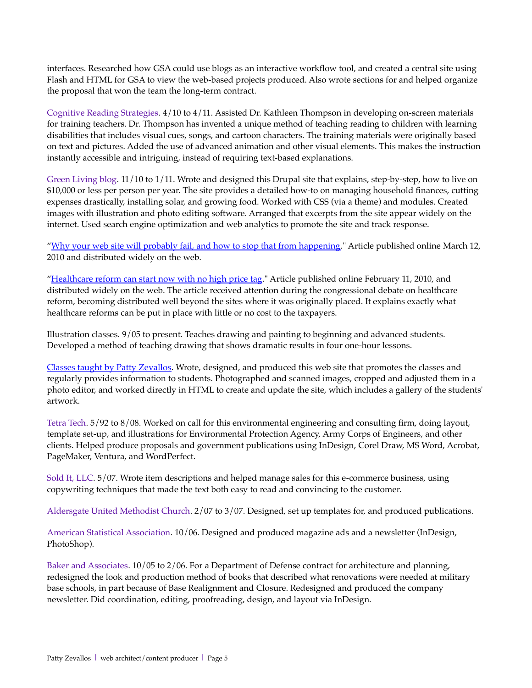interfaces. Researched how GSA could use blogs as an interactive workfow tool, and created a central site using Flash and HTML for GSA to view the web-based projects produced. Also wrote sections for and helped organize the proposal that won the team the long-term contract.

Cognitive Reading Strategies*.* 4/10 to 4/11. Assisted Dr. Kathleen Thompson in developing on-screen materials for training teachers. Dr. Thompson has invented a unique method of teaching reading to children with learning disabilities that includes visual cues, songs, and cartoon characters. The training materials were originally based on text and pictures. Added the use of advanced animation and other visual elements. This makes the instruction instantly accessible and intriguing, instead of requiring text-based explanations.

Green Living blog. 11/10 to 1/11. Wrote and designed this Drupal site that explains, step-by-step, how to live on \$10,000 or less per person per year. The site provides a detailed how-to on managing household fnances, cutting expenses drastically, installing solar, and growing food. Worked with CSS (via a theme) and modules. Created images with illustration and photo editing software. Arranged that excerpts from the site appear widely on the internet. Used search engine optimization and web analytics to promote the site and track response.

["Why your web site will probably fail, and how to stop that from happening.](http://www.pbzproductions.com/articles/why_web_sites_fail.html)" Article published online March 12, 2010 and distributed widely on the web.

["Healthcare reform can start now with no high price tag.](http://www.pbzproductions.com/resume/sample-healthcare%20reform.html)" Article published online February 11, 2010, and distributed widely on the web. The article received attention during the congressional debate on healthcare reform, becoming distributed well beyond the sites where it was originally placed. It explains exactly what healthcare reforms can be put in place with little or no cost to the taxpayers.

Illustration classes*.* 9/05 to present. Teaches drawing and painting to beginning and advanced students. Developed a method of teaching drawing that shows dramatic results in four one-hour lessons.

[Classes taught by Patty Zevallos.](http://www.pbzproductions.com/classes/) Wrote, designed, and produced this web site that promotes the classes and regularly provides information to students. Photographed and scanned images, cropped and adjusted them in a photo editor, and worked directly in HTML to create and update the site, which includes a gallery of the students' artwork.

Tetra Tech. 5/92 to 8/08. Worked on call for this environmental engineering and consulting frm, doing layout, template set-up, and illustrations for Environmental Protection Agency, Army Corps of Engineers, and other clients. Helped produce proposals and government publications using InDesign, Corel Draw, MS Word, Acrobat, PageMaker, Ventura, and WordPerfect.

Sold It, LLC. 5/07. Wrote item descriptions and helped manage sales for this e-commerce business, using copywriting techniques that made the text both easy to read and convincing to the customer.

Aldersgate United Methodist Church. 2/07 to 3/07. Designed, set up templates for, and produced publications.

American Statistical Association. 10/06. Designed and produced magazine ads and a newsletter (InDesign, PhotoShop).

Baker and Associates. 10/05 to 2/06. For a Department of Defense contract for architecture and planning, redesigned the look and production method of books that described what renovations were needed at military base schools, in part because of Base Realignment and Closure. Redesigned and produced the company newsletter. Did coordination, editing, proofreading, design, and layout via InDesign.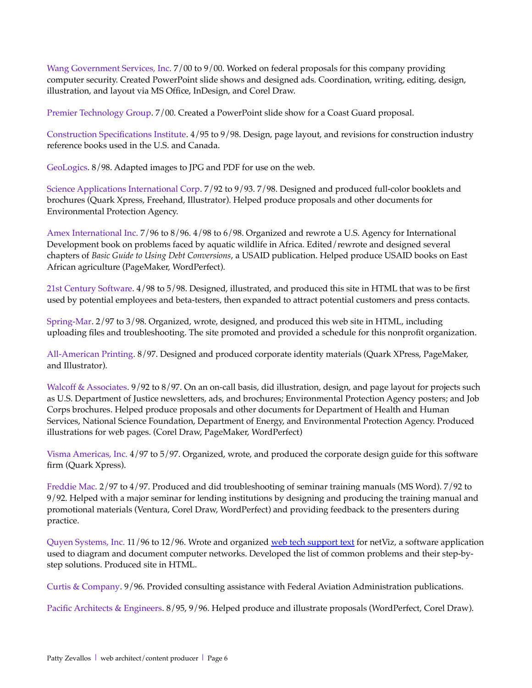Wang Government Services, Inc*.* 7/00 to 9/00. Worked on federal proposals for this company providing computer security. Created PowerPoint slide shows and designed ads. Coordination, writing, editing, design, illustration, and layout via MS Office, InDesign, and Corel Draw.

Premier Technology Group. 7/00. Created a PowerPoint slide show for a Coast Guard proposal.

Construction Specifcations Institute. 4/95 to 9/98. Design, page layout, and revisions for construction industry reference books used in the U.S. and Canada.

GeoLogics. 8/98. Adapted images to JPG and PDF for use on the web.

Science Applications International Corp. 7/92 to 9/93. 7/98. Designed and produced full-color booklets and brochures (Quark Xpress, Freehand, Illustrator). Helped produce proposals and other documents for Environmental Protection Agency.

Amex International Inc*.* 7/96 to 8/96. 4/98 to 6/98. Organized and rewrote a U.S. Agency for International Development book on problems faced by aquatic wildlife in Africa. Edited/rewrote and designed several chapters of *Basic Guide to Using Debt Conversions*, a USAID publication. Helped produce USAID books on East African agriculture (PageMaker, WordPerfect).

21st Century Software. 4/98 to 5/98. Designed, illustrated, and produced this site in HTML that was to be frst used by potential employees and beta-testers, then expanded to attract potential customers and press contacts.

Spring-Mar. 2/97 to 3/98. Organized, wrote, designed, and produced this web site in HTML, including uploading fles and troubleshooting. The site promoted and provided a schedule for this nonproft organization.

All-American Printing. 8/97. Designed and produced corporate identity materials (Quark XPress, PageMaker, and Illustrator).

Walcoff & Associates. 9/92 to 8/97. On an on-call basis, did illustration, design, and page layout for projects such as U.S. Department of Justice newsletters, ads, and brochures; Environmental Protection Agency posters; and Job Corps brochures. Helped produce proposals and other documents for Department of Health and Human Services, National Science Foundation, Department of Energy, and Environmental Protection Agency. Produced illustrations for web pages. (Corel Draw, PageMaker, WordPerfect)

Visma Americas, Inc. 4/97 to 5/97. Organized, wrote, and produced the corporate design guide for this software frm (Quark Xpress).

Freddie Mac*.* 2/97 to 4/97. Produced and did troubleshooting of seminar training manuals (MS Word). 7/92 to 9/92. Helped with a major seminar for lending institutions by designing and producing the training manual and promotional materials (Ventura, Corel Draw, WordPerfect) and providing feedback to the presenters during practice.

Quyen Systems, Inc. 11/96 to 12/96. Wrote and organized [web tech support text](http://www.pbzproductions.com/resume/web%20sample-netViz/5tdhome.htm) for netViz, a software application used to diagram and document computer networks. Developed the list of common problems and their step-bystep solutions. Produced site in HTML.

Curtis & Company. 9/96. Provided consulting assistance with Federal Aviation Administration publications.

Pacific Architects & Engineers. 8/95, 9/96. Helped produce and illustrate proposals (WordPerfect, Corel Draw).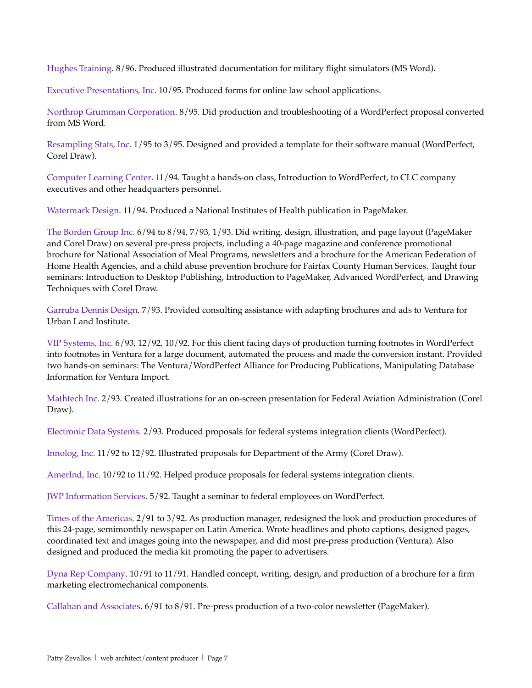Hughes Training. 8/96. Produced illustrated documentation for military fight simulators (MS Word).

Executive Presentations, Inc*.* 10/95. Produced forms for online law school applications.

Northrop Grumman Corporation. 8/95. Did production and troubleshooting of a WordPerfect proposal converted from MS Word.

Resampling Stats, Inc. 1/95 to 3/95. Designed and provided a template for their software manual (WordPerfect, Corel Draw).

Computer Learning Center. 11/94. Taught a hands-on class, Introduction to WordPerfect, to CLC company executives and other headquarters personnel.

Watermark Design*.* 11/94. Produced a National Institutes of Health publication in PageMaker.

The Borden Group Inc. 6/94 to 8/94, 7/93, 1/93. Did writing, design, illustration, and page layout (PageMaker and Corel Draw) on several pre-press projects, including a 40-page magazine and conference promotional brochure for National Association of Meal Programs, newsletters and a brochure for the American Federation of Home Health Agencies, and a child abuse prevention brochure for Fairfax County Human Services. Taught four seminars: Introduction to Desktop Publishing, Introduction to PageMaker, Advanced WordPerfect, and Drawing Techniques with Corel Draw.

Garruba Dennis Design*.* 7/93. Provided consulting assistance with adapting brochures and ads to Ventura for Urban Land Institute.

VIP Systems, Inc. 6/93, 12/92, 10/92. For this client facing days of production turning footnotes in WordPerfect into footnotes in Ventura for a large document, automated the process and made the conversion instant. Provided two hands-on seminars: The Ventura/WordPerfect Alliance for Producing Publications, Manipulating Database Information for Ventura Import.

Mathtech Inc. 2/93. Created illustrations for an on-screen presentation for Federal Aviation Administration (Corel Draw).

Electronic Data Systems*.* 2/93. Produced proposals for federal systems integration clients (WordPerfect).

Innolog, Inc. 11/92 to 12/92. Illustrated proposals for Department of the Army (Corel Draw).

AmerInd, Inc. 10/92 to 11/92. Helped produce proposals for federal systems integration clients.

JWP Information Services*.* 5/92. Taught a seminar to federal employees on WordPerfect.

Times of the Americas*.* 2/91 to 3/92. As production manager, redesigned the look and production procedures of this 24-page, semimonthly newspaper on Latin America. Wrote headlines and photo captions, designed pages, coordinated text and images going into the newspaper, and did most pre-press production (Ventura). Also designed and produced the media kit promoting the paper to advertisers.

Dyna Rep Company. 10/91 to 11/91. Handled concept, writing, design, and production of a brochure for a frm marketing electromechanical components.

Callahan and Associates. 6/91 to 8/91. Pre-press production of a two-color newsletter (PageMaker).